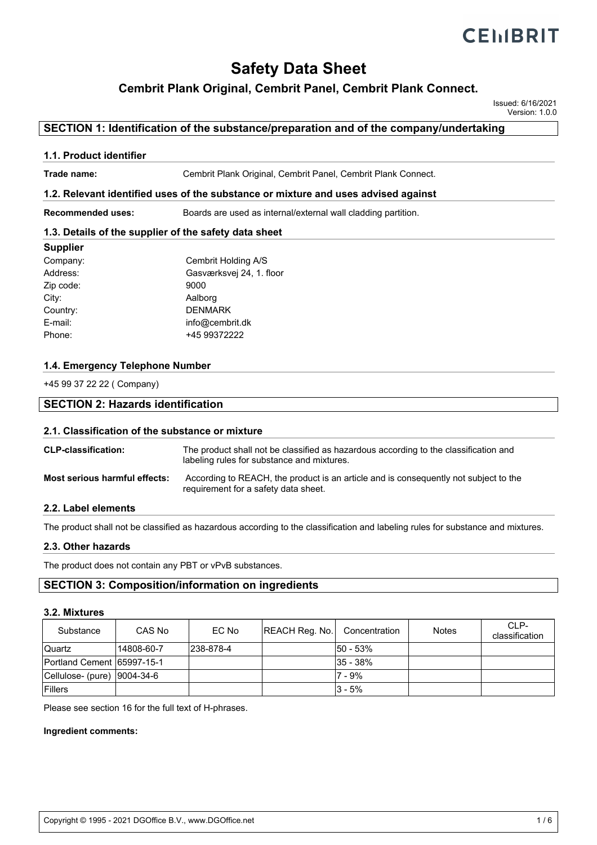# **Safety Data Sheet**

## **Cembrit Plank Original, Cembrit Panel, Cembrit Plank Connect.**

Issued: 6/16/2021 Version: 1.0.0

## **SECTION 1: Identification of the substance/preparation and of the company/undertaking**

### **1.1. Product identifier**

**Trade name:** Cembrit Plank Original, Cembrit Panel, Cembrit Plank Connect.

### **1.2. Relevant identified uses of the substance or mixture and uses advised against**

**Recommended uses:** Boards are used as internal/external wall cladding partition.

### **1.3. Details of the supplier of the safety data sheet**

### **Supplier**

| Company:  | Cembrit Holding A/S      |
|-----------|--------------------------|
| Address:  | Gasværksvej 24, 1. floor |
| Zip code: | 9000                     |
| City:     | Aalborg                  |
| Country:  | <b>DENMARK</b>           |
| E-mail:   | info@cembrit.dk          |
| Phone:    | +45 99372222             |
|           |                          |

### **1.4. Emergency Telephone Number**

+45 99 37 22 22 ( Company)

# **SECTION 2: Hazards identification**

#### **2.1. Classification of the substance or mixture**

| <b>CLP-classification:</b>    | The product shall not be classified as hazardous according to the classification and<br>labeling rules for substance and mixtures. |
|-------------------------------|------------------------------------------------------------------------------------------------------------------------------------|
| Most serious harmful effects: | According to REACH, the product is an article and is consequently not subject to the<br>requirement for a safety data sheet.       |

### **2.2. Label elements**

The product shall not be classified as hazardous according to the classification and labeling rules for substance and mixtures.

### **2.3. Other hazards**

The product does not contain any PBT or vPvB substances.

### **SECTION 3: Composition/information on ingredients**

#### **3.2. Mixtures**

| Substance                    | CAS No     | EC No     | REACH Reg. No. | Concentration | <b>Notes</b> | $CI$ P-<br>classification |
|------------------------------|------------|-----------|----------------|---------------|--------------|---------------------------|
| <b>Quartz</b>                | 14808-60-7 | 238-878-4 |                | l50 - 53%     |              |                           |
| Portland Cement 65997-15-1   |            |           |                | l35 - 38%     |              |                           |
| Cellulose- (pure)  9004-34-6 |            |           |                | 7 - 9%        |              |                           |
| <b>Fillers</b>               |            |           |                | l3 - 5%       |              |                           |

Please see section 16 for the full text of H-phrases.

#### **Ingredient comments:**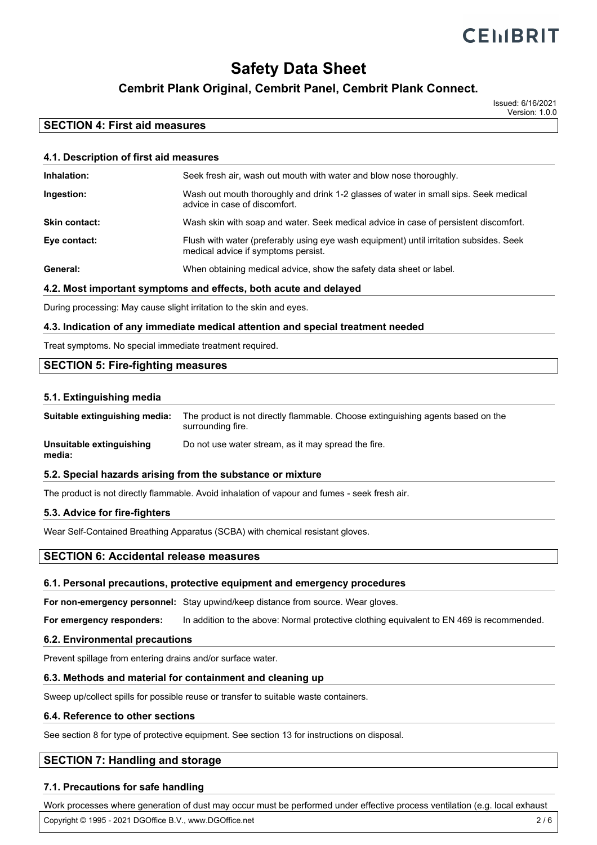# **Safety Data Sheet**

# **Cembrit Plank Original, Cembrit Panel, Cembrit Plank Connect.**

Issued: 6/16/2021 Version: 1.0.0

## **SECTION 4: First aid measures**

| 4.1. Description of first aid measures |                                                                                                                               |  |  |
|----------------------------------------|-------------------------------------------------------------------------------------------------------------------------------|--|--|
| Inhalation:                            | Seek fresh air, wash out mouth with water and blow nose thoroughly.                                                           |  |  |
| Ingestion:                             | Wash out mouth thoroughly and drink 1-2 glasses of water in small sips. Seek medical<br>advice in case of discomfort.         |  |  |
| <b>Skin contact:</b>                   | Wash skin with soap and water. Seek medical advice in case of persistent discomfort.                                          |  |  |
| Eye contact:                           | Flush with water (preferably using eye wash equipment) until irritation subsides. Seek<br>medical advice if symptoms persist. |  |  |
| General:                               | When obtaining medical advice, show the safety data sheet or label.                                                           |  |  |
|                                        |                                                                                                                               |  |  |

### **4.2. Most important symptoms and effects, both acute and delayed**

During processing: May cause slight irritation to the skin and eyes.

### **4.3. Indication of any immediate medical attention and special treatment needed**

Treat symptoms. No special immediate treatment required.

## **SECTION 5: Fire-fighting measures**

### **5.1. Extinguishing media**

| Suitable extinguishing media:      | The product is not directly flammable. Choose extinguishing agents based on the<br>surrounding fire. |
|------------------------------------|------------------------------------------------------------------------------------------------------|
| Unsuitable extinguishing<br>media: | Do not use water stream, as it may spread the fire.                                                  |

### **5.2. Special hazards arising from the substance or mixture**

The product is not directly flammable. Avoid inhalation of vapour and fumes - seek fresh air.

### **5.3. Advice for fire-fighters**

Wear Self-Contained Breathing Apparatus (SCBA) with chemical resistant gloves.

### **SECTION 6: Accidental release measures**

### **6.1. Personal precautions, protective equipment and emergency procedures**

**For non-emergency personnel:** Stay upwind/keep distance from source. Wear gloves.

**For emergency responders:** In addition to the above: Normal protective clothing equivalent to EN 469 is recommended.

### **6.2. Environmental precautions**

Prevent spillage from entering drains and/or surface water.

### **6.3. Methods and material for containment and cleaning up**

Sweep up/collect spills for possible reuse or transfer to suitable waste containers.

### **6.4. Reference to other sections**

See section 8 for type of protective equipment. See section 13 for instructions on disposal.

## **SECTION 7: Handling and storage**

### **7.1. Precautions for safe handling**

Work processes where generation of dust may occur must be performed under effective process ventilation (e.g. local exhaust vertilation of the and executive water and executive was hands before breaks, before breaks, before breaks, copyright © 1995 - 2021 DGOffice B.V., www.DGOffice.net 2 / 6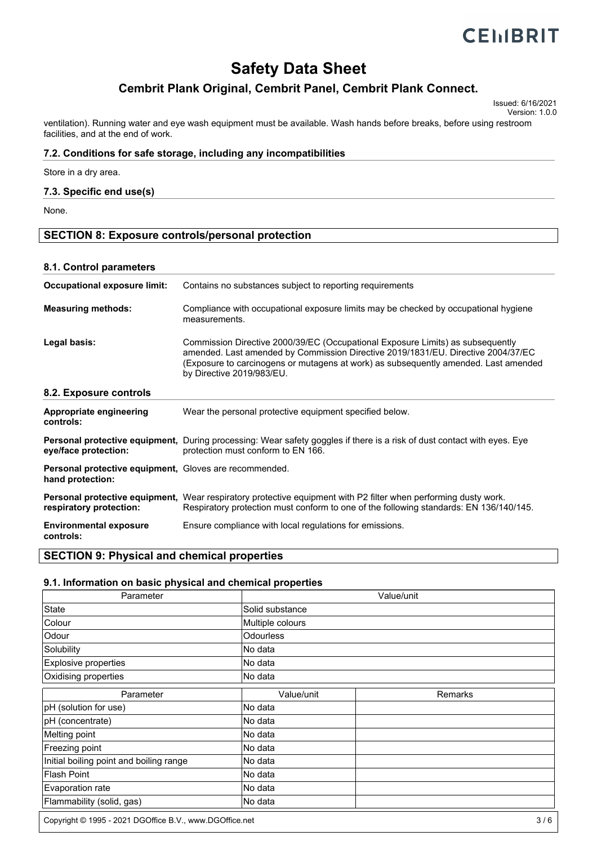# **CEMBRIT**

# **Safety Data Sheet**

# **Cembrit Plank Original, Cembrit Panel, Cembrit Plank Connect.**

Issued: 6/16/2021 Version: 1.0.0

ventilation). Running water and eye wash equipment must be available. Wash hands before breaks, before using restroom facilities, and at the end of work.

### **7.2. Conditions for safe storage, including any incompatibilities**

Store in a dry area.

### **7.3. Specific end use(s)**

None.

## **SECTION 8: Exposure controls/personal protection**

### **8.1. Control parameters**

| Contains no substances subject to reporting requirements                                                                                                                                                                                                                               |
|----------------------------------------------------------------------------------------------------------------------------------------------------------------------------------------------------------------------------------------------------------------------------------------|
| Compliance with occupational exposure limits may be checked by occupational hygiene<br>measurements.                                                                                                                                                                                   |
| Commission Directive 2000/39/EC (Occupational Exposure Limits) as subsequently<br>amended. Last amended by Commission Directive 2019/1831/EU. Directive 2004/37/EC<br>(Exposure to carcinogens or mutagens at work) as subsequently amended. Last amended<br>by Directive 2019/983/EU. |
|                                                                                                                                                                                                                                                                                        |
| Wear the personal protective equipment specified below.                                                                                                                                                                                                                                |
| <b>Personal protective equipment,</b> During processing: Wear safety goggles if there is a risk of dust contact with eyes. Eye<br>protection must conform to EN 166.                                                                                                                   |
| Personal protective equipment, Gloves are recommended.                                                                                                                                                                                                                                 |
| Personal protective equipment, Wear respiratory protective equipment with P2 filter when performing dusty work.<br>Respiratory protection must conform to one of the following standards: EN 136/140/145.                                                                              |
| Ensure compliance with local regulations for emissions.                                                                                                                                                                                                                                |
|                                                                                                                                                                                                                                                                                        |

### **SECTION 9: Physical and chemical properties**

### **9.1. Information on basic physical and chemical properties**

| Parameter                               | Value/unit       |         |  |
|-----------------------------------------|------------------|---------|--|
| State                                   | Solid substance  |         |  |
| Colour                                  | Multiple colours |         |  |
| Odour                                   | <b>Odourless</b> |         |  |
| Solubility                              | No data          |         |  |
| Explosive properties                    | lNo data         |         |  |
| Oxidising properties                    | No data          |         |  |
| Parameter                               | Value/unit       | Remarks |  |
| pH (solution for use)                   | No data          |         |  |
| pH (concentrate)                        | No data          |         |  |
| Melting point                           | No data          |         |  |
| Freezing point                          | No data          |         |  |
| Initial boiling point and boiling range | No data          |         |  |
| Flash Point                             | No data          |         |  |
| Evaporation rate                        | No data          |         |  |
| Flammability (solid, gas)               | No data          |         |  |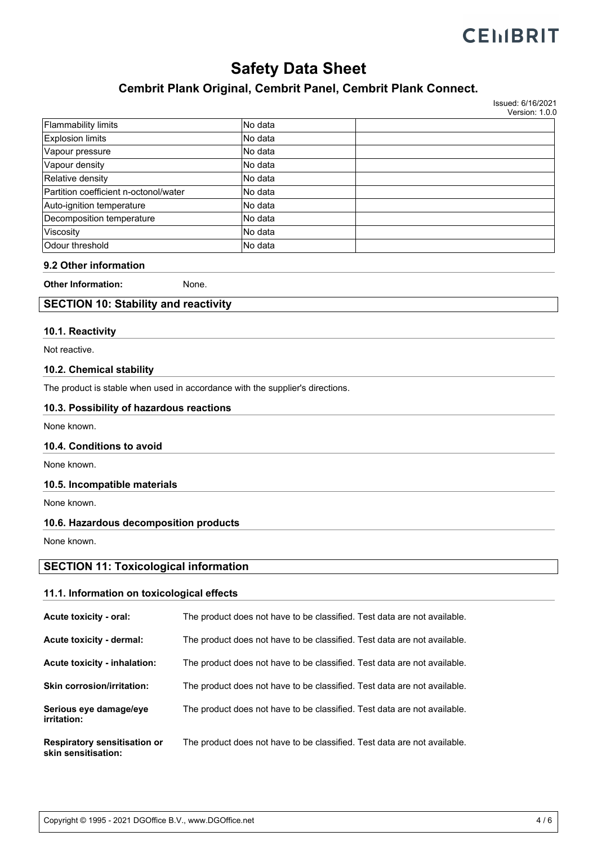# **CEMBRIT**

# **Safety Data Sheet**

# **Cembrit Plank Original, Cembrit Panel, Cembrit Plank Connect.**

Issued: 6/16/2021 Version: 1.0.0

| Flammability limits                   | No data  |  |
|---------------------------------------|----------|--|
| <b>Explosion limits</b>               | lNo data |  |
| Vapour pressure                       | INo data |  |
| Vapour density                        | No data  |  |
| Relative density                      | lNo data |  |
| Partition coefficient n-octonol/water | lNo data |  |
| Auto-ignition temperature             | INo data |  |
| Decomposition temperature             | No data  |  |
| Viscosity                             | INo data |  |
| Odour threshold                       | lNo data |  |

### **9.2 Other information**

**Other Information:** None.

## **SECTION 10: Stability and reactivity**

### **10.1. Reactivity**

Not reactive.

### **10.2. Chemical stability**

The product is stable when used in accordance with the supplier's directions.

### **10.3. Possibility of hazardous reactions**

None known.

### **10.4. Conditions to avoid**

None known.

### **10.5. Incompatible materials**

None known.

### **10.6. Hazardous decomposition products**

None known.

# **SECTION 11: Toxicological information**

### **11.1. Information on toxicological effects**

| Acute toxicity - oral:                                     | The product does not have to be classified. Test data are not available. |
|------------------------------------------------------------|--------------------------------------------------------------------------|
| Acute toxicity - dermal:                                   | The product does not have to be classified. Test data are not available. |
| Acute toxicity - inhalation:                               | The product does not have to be classified. Test data are not available. |
| <b>Skin corrosion/irritation:</b>                          | The product does not have to be classified. Test data are not available. |
| Serious eye damage/eye<br>irritation:                      | The product does not have to be classified. Test data are not available. |
| <b>Respiratory sensitisation or</b><br>skin sensitisation: | The product does not have to be classified. Test data are not available. |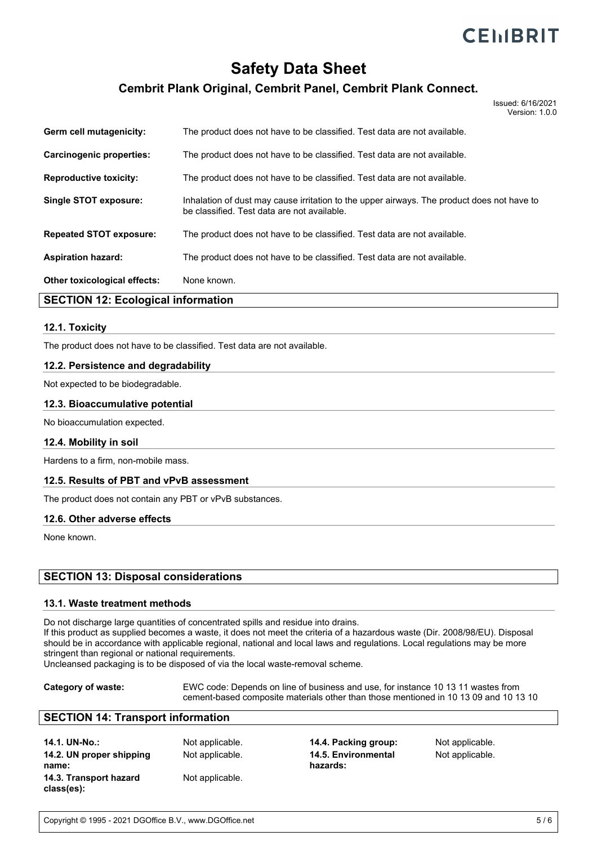# **Safety Data Sheet**

# **Cembrit Plank Original, Cembrit Panel, Cembrit Plank Connect.**

Issued: 6/16/2021 Version: 1.0.0

| $\mathsf{AFATIAL}$ $\mathsf{ALA}$ $\mathsf{FA}$ $\mathsf{FA}$ $\mathsf{FA}$ $\mathsf{FA}$ $\mathsf{FA}$ $\mathsf{FA}$ $\mathsf{FA}$ $\mathsf{FA}$ $\mathsf{FA}$ $\mathsf{FA}$ $\mathsf{FA}$ $\mathsf{FA}$ $\mathsf{FA}$ $\mathsf{FA}$ $\mathsf{FA}$ $\mathsf{FA}$ $\mathsf{FA}$ $\mathsf{FA}$ $\mathsf{FA}$ $\mathsf{FA}$ $\mathsf{FA}$ $\mathsf{FA}$ |                                                                                                                                           |
|-------------------------------------------------------------------------------------------------------------------------------------------------------------------------------------------------------------------------------------------------------------------------------------------------------------------------------------------------------|-------------------------------------------------------------------------------------------------------------------------------------------|
| <b>Other toxicological effects:</b>                                                                                                                                                                                                                                                                                                                   | None known.                                                                                                                               |
| <b>Aspiration hazard:</b>                                                                                                                                                                                                                                                                                                                             | The product does not have to be classified. Test data are not available.                                                                  |
| <b>Repeated STOT exposure:</b>                                                                                                                                                                                                                                                                                                                        | The product does not have to be classified. Test data are not available.                                                                  |
| Single STOT exposure:                                                                                                                                                                                                                                                                                                                                 | Inhalation of dust may cause irritation to the upper airways. The product does not have to<br>be classified. Test data are not available. |
| <b>Reproductive toxicity:</b>                                                                                                                                                                                                                                                                                                                         | The product does not have to be classified. Test data are not available.                                                                  |
| Carcinogenic properties:                                                                                                                                                                                                                                                                                                                              | The product does not have to be classified. Test data are not available.                                                                  |
| Germ cell mutagenicity:                                                                                                                                                                                                                                                                                                                               | The product does not have to be classified. Test data are not available.                                                                  |

### **SECTION 12: Ecological information**

### **12.1. Toxicity**

The product does not have to be classified. Test data are not available.

### **12.2. Persistence and degradability**

Not expected to be biodegradable.

#### **12.3. Bioaccumulative potential**

No bioaccumulation expected.

### **12.4. Mobility in soil**

Hardens to a firm, non-mobile mass.

### **12.5. Results of PBT and vPvB assessment**

The product does not contain any PBT or vPvB substances.

#### **12.6. Other adverse effects**

None known.

### **SECTION 13: Disposal considerations**

#### **13.1. Waste treatment methods**

Do not discharge large quantities of concentrated spills and residue into drains.

If this product as supplied becomes a waste, it does not meet the criteria of a hazardous waste (Dir. 2008/98/EU). Disposal should be in accordance with applicable regional, national and local laws and regulations. Local regulations may be more stringent than regional or national requirements.

Uncleansed packaging is to be disposed of via the local waste-removal scheme.

**Category of waste:** EWC code: Depends on line of business and use, for instance 10 13 11 wastes from cement-based composite materials other than those mentioned in 10 13 09 and 10 13 10

### **SECTION 14: Transport information**

| 14.1. UN-No.:            | Not applicable. |
|--------------------------|-----------------|
| 14.2. UN proper shipping | Not applicable. |
| name:                    |                 |
| 14.3. Transport hazard   | Not applicable. |
| class(es):               |                 |

**14.4. Packing group:** Not applicable. Not applicable. **14.5. Environmental hazards:**

Not applicable.